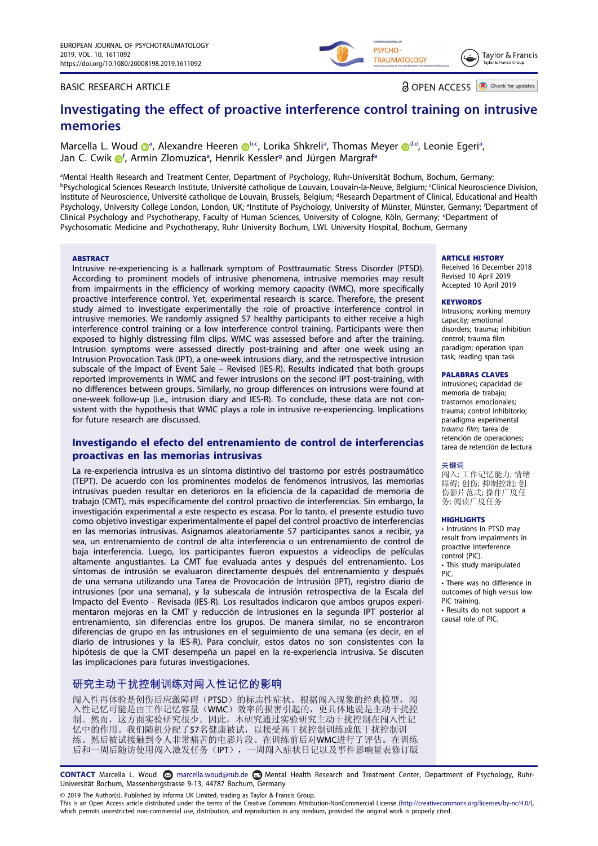## BASIC RESEARCH ARTICLE

**a** OPEN ACCESS **a** Check for updates

Taylor & Francis

PSYCHO-

**TRAUMATOLOGY** 

# Investigating the effect of proactive interference control training on intrusive memories

Marcella L. Wou[d](#page-0-2)  $\bullet^a$  $\bullet^a$ , Alexa[n](http://orcid.org/0000-0003-0553-6149)dre Heeren  $\bullet^{b,c}$ , Lorika Shkreli<sup>a</sup>, Thomas Meyer  $\bullet^{d,e}$  $\bullet^{d,e}$  $\bullet^{d,e}$ , Leonie Egeri<sup>a</sup>, Jan C. Cwi[k](http://orcid.org/0000-0002-2290-353X) *i[f](#page-0-3)*, Armin Zlomuzic[a](#page-0-0)<sup>a</sup>, Henrik Kessler<sup>g</sup> and Jü[rg](#page-0-4)en Margraf<sup>a</sup>

<span id="page-0-4"></span><span id="page-0-3"></span><span id="page-0-2"></span><span id="page-0-1"></span><span id="page-0-0"></span>a Mental Health Research and Treatment Center, Department of Psychology, Ruhr-Universität Bochum, Bochum, Germany; bPsychological Sciences Research Institute, Université catholique de Louvain, Louvain-la-Neuve, Belgium; <sup>c</sup>Clinical Neuroscience Division, Institute of Neuroscience, Université catholique de Louvain, Brussels, Belgium; <sup>d</sup>Research Department of Clinical, Educational and Health Psychology, University College London, London, UK; <sup>e</sup>lnstitute of Psychology, University of Münster, Münster, Germany; <sup>f</sup>Department of Clinical Psychology and Psychotherapy, Faculty of Human Sciences, University of Cologne, Köln, Germany; <sup>g</sup> Department of Psychosomatic Medicine and Psychotherapy, Ruhr University Bochum, LWL University Hospital, Bochum, Germany

### **ABSTRACT**

Intrusive re-experiencing is a hallmark symptom of Posttraumatic Stress Disorder (PTSD). According to prominent models of intrusive phenomena, intrusive memories may result from impairments in the efficiency of working memory capacity (WMC), more specifically proactive interference control. Yet, experimental research is scarce. Therefore, the present study aimed to investigate experimentally the role of proactive interference control in intrusive memories. We randomly assigned 57 healthy participants to either receive a high interference control training or a low interference control training. Participants were then exposed to highly distressing film clips. WMC was assessed before and after the training. Intrusion symptoms were assessed directly post-training and after one week using an Intrusion Provocation Task (IPT), a one-week intrusions diary, and the retrospective intrusion subscale of the Impact of Event Sale – Revised (IES-R). Results indicated that both groups reported improvements in WMC and fewer intrusions on the second IPT post-training, with no differences between groups. Similarly, no group differences on intrusions were found at one-week follow-up (i.e., intrusion diary and IES-R). To conclude, these data are not consistent with the hypothesis that WMC plays a role in intrusive re-experiencing. Implications for future research are discussed.

## Investigando el efecto del entrenamiento de control de interferencias proactivas en las memorias intrusivas

La re-experiencia intrusiva es un síntoma distintivo del trastorno por estrés postraumático (TEPT). De acuerdo con los prominentes modelos de fenómenos intrusivos, las memorias intrusivas pueden resultar en deterioros en la eficiencia de la capacidad de memoria de trabajo (CMT), más específicamente del control proactivo de interferencias. Sin embargo, la investigación experimental a este respecto es escasa. Por lo tanto, el presente estudio tuvo como objetivo investigar experimentalmente el papel del control proactivo de interferencias en las memorias intrusivas. Asignamos aleatoriamente 57 participantes sanos a recibir, ya sea, un entrenamiento de control de alta interferencia o un entrenamiento de control de baja interferencia. Luego, los participantes fueron expuestos a videoclips de películas altamente angustiantes. La CMT fue evaluada antes y después del entrenamiento. Los síntomas de intrusión se evaluaron directamente después del entrenamiento y después de una semana utilizando una Tarea de Provocación de Intrusión (IPT), registro diario de intrusiones (por una semana), y la subescala de intrusión retrospectiva de la Escala del Impacto del Evento - Revisada (IES-R). Los resultados indicaron que ambos grupos experimentaron mejoras en la CMT y reducción de intrusiones en la segunda IPT posterior al entrenamiento, sin diferencias entre los grupos. De manera similar, no se encontraron diferencias de grupo en las intrusiones en el seguimiento de una semana (es decir, en el diario de intrusiones y la IES-R). Para concluir, estos datos no son consistentes con la hipótesis de que la CMT desempeña un papel en la re-experiencia intrusiva. Se discuten las implicaciones para futuras investigaciones.

## 研究主动干扰控制训练对闯入性记忆的影响

闯入性再体验是创伤后应激障碍(PTSD)的标志性症状。根据闯入现象的经典模型,闯 入性记忆可能是由工作记忆容量(WMC)效率的损害引起的,更具体地说是主动干扰控 制。然而,这方面实验研究很少。因此,本研究通过实验研究主动干扰控制在闯入性记 忆中的作用。我们随机分配了57名健康被试,以接受高干扰控制训练或低干扰控制训 练。然后被试接触到令人非常痛苦的电影片段。在训练前后对WMC进行了评估。在训练 后和一周后随访使用闯入激发任务(IPT),一周闯入症状日记以及事件影响量表修订版

### **ARTICLE HISTORY**

Received 16 December 2018 Revised 10 April 2019 Accepted 10 April 2019

### **KEYWORDS**

Intrusions; working memory capacity; emotional disorders; trauma; inhibition control; trauma film paradigm; operation span task; reading span task

#### PALABRAS CLAVES

intrusiones; capacidad de memoria de trabajo; trastornos emocionales; trauma; control inhibitorio; paradigma experimental trauma film; tarea de retención de operaciones; tarea de retención de lectura

### 关键词

闯入; 工作记忆能力; 情绪 障碍; 创伤; 抑制控制; 创 伤影片范式; 操作广度任 务; 阅读广度任务

### **HIGHLIGHTS**

• Intrusions in PTSD may result from impairments in proactive interference control (PIC). • This study manipulated PIC.

• There was no difference in outcomes of high versus low PIC training.

• Results do not support a causal role of PIC.

CONTACT Marcella L. Woud marcella.woud@rub.de Mental Health Research and Treatment Center, Department of Psychology, Ruhr-Universität Bochum, Massenbergstrasse 9-13, 44787 Bochum, Germany

© 2019 The Author(s). Published by Informa UK Limited, trading as Taylor & Francis Group.

This is an Open Access article distributed under the terms of the Creative Commons Attribution-NonCommercial License (http://creativecommons.org/licenses/by-nc/4.0/), which permits unrestricted non-commercial use, distribution, and reproduction in any medium, provided the original work is properly cited.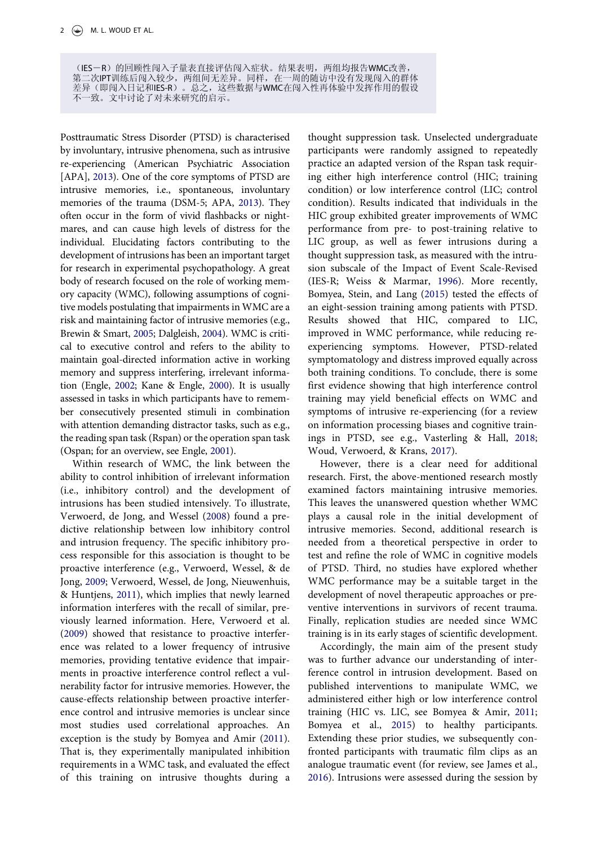(IES-R)的回顾性闯入子量表直接评估闯入症状。结果表明,两组均报告WMC改善, 第二次IPT训练后闯入较少,两组间无差异。同样,在一周的随访中没有发现闯入的群体 差异(即闯入日记和IES-R)。总之,这些数据与WMC在闯入性再体验中发挥作用的假设 不一致。文中讨论了对未来研究的启示。

<span id="page-1-0"></span>Posttraumatic Stress Disorder (PTSD) is characterised by involuntary, intrusive phenomena, such as intrusive re-experiencing (American Psychiatric Association [APA], [2013](#page-9-0)). One of the core symptoms of PTSD are intrusive memories, i.e., spontaneous, involuntary memories of the trauma (DSM-5; APA, [2013](#page-9-0)). They often occur in the form of vivid flashbacks or nightmares, and can cause high levels of distress for the individual. Elucidating factors contributing to the development of intrusions has been an important target for research in experimental psychopathology. A great body of research focused on the role of working memory capacity (WMC), following assumptions of cognitive models postulating that impairments in WMC are a risk and maintaining factor of intrusive memories (e.g., Brewin & Smart, [2005;](#page-9-1) Dalgleish, [2004](#page-10-0)). WMC is critical to executive control and refers to the ability to maintain goal-directed information active in working memory and suppress interfering, irrelevant information (Engle, [2002](#page-10-1); Kane & Engle, [2000\)](#page-10-2). It is usually assessed in tasks in which participants have to remember consecutively presented stimuli in combination with attention demanding distractor tasks, such as e.g., the reading span task (Rspan) or the operation span task (Ospan; for an overview, see Engle, [2001](#page-10-3)).

<span id="page-1-10"></span><span id="page-1-9"></span><span id="page-1-8"></span><span id="page-1-5"></span><span id="page-1-4"></span><span id="page-1-3"></span>Within research of WMC, the link between the ability to control inhibition of irrelevant information (i.e., inhibitory control) and the development of intrusions has been studied intensively. To illustrate, Verwoerd, de Jong, and Wessel [\(2008\)](#page-10-4) found a predictive relationship between low inhibitory control and intrusion frequency. The specific inhibitory process responsible for this association is thought to be proactive interference (e.g., Verwoerd, Wessel, & de Jong, [2009;](#page-10-5) Verwoerd, Wessel, de Jong, Nieuwenhuis, & Huntjens, [2011](#page-10-6)), which implies that newly learned information interferes with the recall of similar, previously learned information. Here, Verwoerd et al. ([2009\)](#page-10-5) showed that resistance to proactive interference was related to a lower frequency of intrusive memories, providing tentative evidence that impairments in proactive interference control reflect a vulnerability factor for intrusive memories. However, the cause-effects relationship between proactive interference control and intrusive memories is unclear since most studies used correlational approaches. An exception is the study by Bomyea and Amir [\(2011\)](#page-9-2). That is, they experimentally manipulated inhibition requirements in a WMC task, and evaluated the effect of this training on intrusive thoughts during a

<span id="page-1-11"></span>thought suppression task. Unselected undergraduate participants were randomly assigned to repeatedly practice an adapted version of the Rspan task requiring either high interference control (HIC; training condition) or low interference control (LIC; control condition). Results indicated that individuals in the HIC group exhibited greater improvements of WMC performance from pre- to post-training relative to LIC group, as well as fewer intrusions during a thought suppression task, as measured with the intrusion subscale of the Impact of Event Scale-Revised (IES-R; Weiss & Marmar, [1996\)](#page-11-0). More recently, Bomyea, Stein, and Lang ([2015\)](#page-9-3) tested the effects of an eight-session training among patients with PTSD. Results showed that HIC, compared to LIC, improved in WMC performance, while reducing reexperiencing symptoms. However, PTSD-related symptomatology and distress improved equally across both training conditions. To conclude, there is some first evidence showing that high interference control training may yield beneficial effects on WMC and symptoms of intrusive re-experiencing (for a review on information processing biases and cognitive trainings in PTSD, see e.g., Vasterling & Hall, [2018;](#page-10-7) Woud, Verwoerd, & Krans, [2017](#page-11-1)).

<span id="page-1-12"></span><span id="page-1-7"></span>However, there is a clear need for additional research. First, the above-mentioned research mostly examined factors maintaining intrusive memories. This leaves the unanswered question whether WMC plays a causal role in the initial development of intrusive memories. Second, additional research is needed from a theoretical perspective in order to test and refine the role of WMC in cognitive models of PTSD. Third, no studies have explored whether WMC performance may be a suitable target in the development of novel therapeutic approaches or preventive interventions in survivors of recent trauma. Finally, replication studies are needed since WMC training is in its early stages of scientific development.

<span id="page-1-6"></span><span id="page-1-2"></span><span id="page-1-1"></span>Accordingly, the main aim of the present study was to further advance our understanding of interference control in intrusion development. Based on published interventions to manipulate WMC, we administered either high or low interference control training (HIC vs. LIC, see Bomyea & Amir, [2011;](#page-9-2) Bomyea et al., [2015](#page-9-3)) to healthy participants. Extending these prior studies, we subsequently confronted participants with traumatic film clips as an analogue traumatic event (for review, see James et al., [2016\)](#page-10-8). Intrusions were assessed during the session by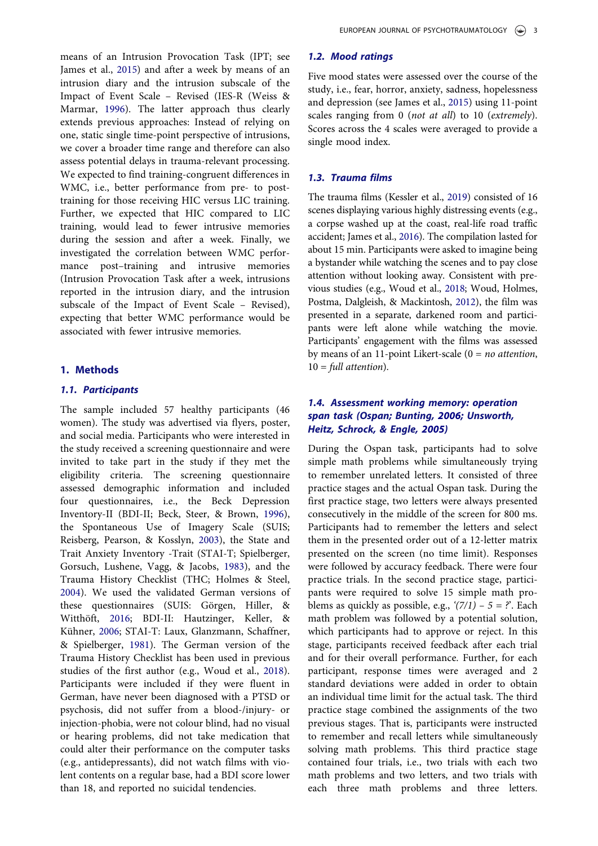means of an Intrusion Provocation Task (IPT; see James et al., [2015\)](#page-10-9) and after a week by means of an intrusion diary and the intrusion subscale of the Impact of Event Scale – Revised (IES-R (Weiss & Marmar, [1996](#page-11-0)). The latter approach thus clearly extends previous approaches: Instead of relying on one, static single time-point perspective of intrusions, we cover a broader time range and therefore can also assess potential delays in trauma-relevant processing. We expected to find training-congruent differences in WMC, i.e., better performance from pre- to posttraining for those receiving HIC versus LIC training. Further, we expected that HIC compared to LIC training, would lead to fewer intrusive memories during the session and after a week. Finally, we investigated the correlation between WMC performance post–training and intrusive memories (Intrusion Provocation Task after a week, intrusions reported in the intrusion diary, and the intrusion subscale of the Impact of Event Scale – Revised), expecting that better WMC performance would be associated with fewer intrusive memories.

## 1. Methods

## 1.1. Participants

<span id="page-2-9"></span><span id="page-2-8"></span><span id="page-2-7"></span><span id="page-2-4"></span><span id="page-2-3"></span><span id="page-2-2"></span><span id="page-2-0"></span>The sample included 57 healthy participants (46 women). The study was advertised via flyers, poster, and social media. Participants who were interested in the study received a screening questionnaire and were invited to take part in the study if they met the eligibility criteria. The screening questionnaire assessed demographic information and included four questionnaires, i.e., the Beck Depression Inventory-II (BDI-II; Beck, Steer, & Brown, [1996\)](#page-9-4), the Spontaneous Use of Imagery Scale (SUIS; Reisberg, Pearson, & Kosslyn, [2003](#page-10-10)), the State and Trait Anxiety Inventory -Trait (STAI-T; Spielberger, Gorsuch, Lushene, Vagg, & Jacobs, [1983](#page-10-11)), and the Trauma History Checklist (THC; Holmes & Steel, [2004](#page-10-12)). We used the validated German versions of these questionnaires (SUIS: Görgen, Hiller, & Witthöft, [2016](#page-10-13); BDI-II: Hautzinger, Keller, & Kühner, [2006;](#page-10-14) STAI-T: Laux, Glanzmann, Schaffner, & Spielberger, [1981](#page-10-15)). The German version of the Trauma History Checklist has been used in previous studies of the first author (e.g., Woud et al., [2018\)](#page-11-2). Participants were included if they were fluent in German, have never been diagnosed with a PTSD or psychosis, did not suffer from a blood-/injury- or injection-phobia, were not colour blind, had no visual or hearing problems, did not take medication that could alter their performance on the computer tasks (e.g., antidepressants), did not watch films with violent contents on a regular base, had a BDI score lower than 18, and reported no suicidal tendencies.

## 1.2. Mood ratings

<span id="page-2-5"></span>Five mood states were assessed over the course of the study, i.e., fear, horror, anxiety, sadness, hopelessness and depression (see James et al., [2015\)](#page-10-9) using 11-point scales ranging from 0 (not at all) to 10 (extremely). Scores across the 4 scales were averaged to provide a single mood index.

## 1.3. Trauma films

<span id="page-2-12"></span><span id="page-2-11"></span><span id="page-2-6"></span>The trauma films (Kessler et al., [2019](#page-10-16)) consisted of 16 scenes displaying various highly distressing events (e.g., a corpse washed up at the coast, real-life road traffic accident; James et al., [2016](#page-10-8)). The compilation lasted for about 15 min. Participants were asked to imagine being a bystander while watching the scenes and to pay close attention without looking away. Consistent with previous studies (e.g., Woud et al., [2018;](#page-11-2) Woud, Holmes, Postma, Dalgleish, & Mackintosh, [2012](#page-11-3)), the film was presented in a separate, darkened room and participants were left alone while watching the movie. Participants' engagement with the films was assessed by means of an 11-point Likert-scale  $(0 = no$  attention,  $10 = full$  attention).

# <span id="page-2-10"></span><span id="page-2-1"></span>1.4. Assessment working memory: operation span task (Ospan; Bunting, [2006;](#page-10-17) Unsworth, Heitz, Schrock, & Engle, [2005\)](#page-10-18)

During the Ospan task, participants had to solve simple math problems while simultaneously trying to remember unrelated letters. It consisted of three practice stages and the actual Ospan task. During the first practice stage, two letters were always presented consecutively in the middle of the screen for 800 ms. Participants had to remember the letters and select them in the presented order out of a 12-letter matrix presented on the screen (no time limit). Responses were followed by accuracy feedback. There were four practice trials. In the second practice stage, participants were required to solve 15 simple math problems as quickly as possible, e.g.,  $(7/1) - 5 = ?$ . Each math problem was followed by a potential solution, which participants had to approve or reject. In this stage, participants received feedback after each trial and for their overall performance. Further, for each participant, response times were averaged and 2 standard deviations were added in order to obtain an individual time limit for the actual task. The third practice stage combined the assignments of the two previous stages. That is, participants were instructed to remember and recall letters while simultaneously solving math problems. This third practice stage contained four trials, i.e., two trials with each two math problems and two letters, and two trials with each three math problems and three letters.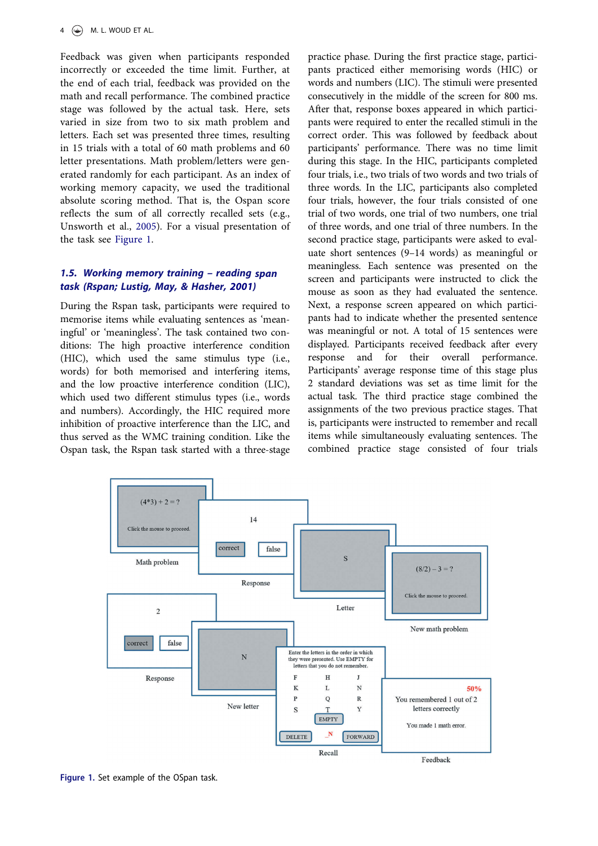Feedback was given when participants responded incorrectly or exceeded the time limit. Further, at the end of each trial, feedback was provided on the math and recall performance. The combined practice stage was followed by the actual task. Here, sets varied in size from two to six math problem and letters. Each set was presented three times, resulting in 15 trials with a total of 60 math problems and 60 letter presentations. Math problem/letters were generated randomly for each participant. As an index of working memory capacity, we used the traditional absolute scoring method. That is, the Ospan score reflects the sum of all correctly recalled sets (e.g., Unsworth et al., [2005\)](#page-10-18). For a visual presentation of the task see [Figure 1.](#page-3-0)

# <span id="page-3-1"></span>1.5. Working memory training – reading span task (Rspan; Lustig, May, & Hasher, [2001\)](#page-10-19)

During the Rspan task, participants were required to memorise items while evaluating sentences as 'meaningful' or 'meaningless'. The task contained two conditions: The high proactive interference condition (HIC), which used the same stimulus type (i.e., words) for both memorised and interfering items, and the low proactive interference condition (LIC), which used two different stimulus types (i.e., words and numbers). Accordingly, the HIC required more inhibition of proactive interference than the LIC, and thus served as the WMC training condition. Like the Ospan task, the Rspan task started with a three-stage

practice phase. During the first practice stage, participants practiced either memorising words (HIC) or words and numbers (LIC). The stimuli were presented consecutively in the middle of the screen for 800 ms. After that, response boxes appeared in which participants were required to enter the recalled stimuli in the correct order. This was followed by feedback about participants' performance. There was no time limit during this stage. In the HIC, participants completed four trials, i.e., two trials of two words and two trials of three words. In the LIC, participants also completed four trials, however, the four trials consisted of one trial of two words, one trial of two numbers, one trial of three words, and one trial of three numbers. In the second practice stage, participants were asked to evaluate short sentences (9–14 words) as meaningful or meaningless. Each sentence was presented on the screen and participants were instructed to click the mouse as soon as they had evaluated the sentence. Next, a response screen appeared on which participants had to indicate whether the presented sentence was meaningful or not. A total of 15 sentences were displayed. Participants received feedback after every response and for their overall performance. Participants' average response time of this stage plus 2 standard deviations was set as time limit for the actual task. The third practice stage combined the assignments of the two previous practice stages. That is, participants were instructed to remember and recall items while simultaneously evaluating sentences. The combined practice stage consisted of four trials



<span id="page-3-0"></span>Figure 1. Set example of the OSpan task.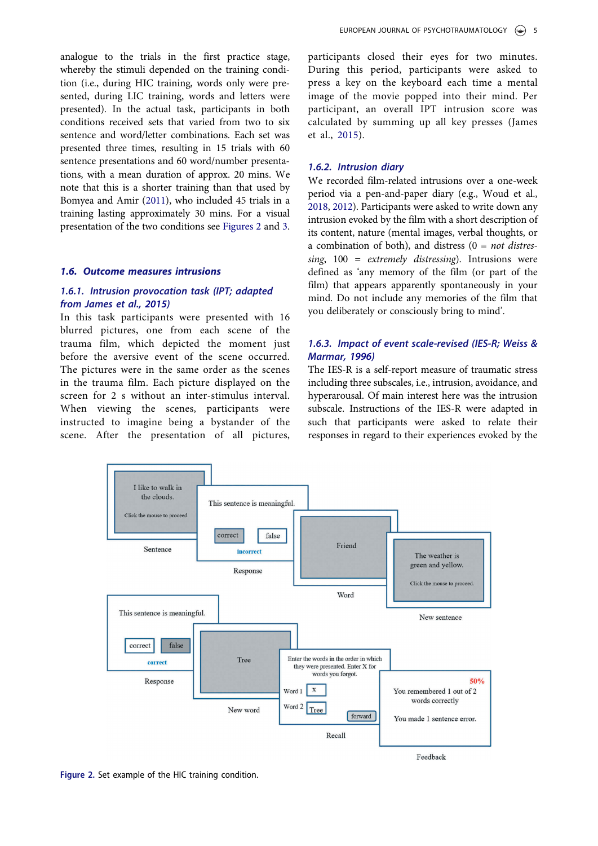analogue to the trials in the first practice stage, whereby the stimuli depended on the training condition (i.e., during HIC training, words only were presented, during LIC training, words and letters were presented). In the actual task, participants in both conditions received sets that varied from two to six sentence and word/letter combinations. Each set was presented three times, resulting in 15 trials with 60 sentence presentations and 60 word/number presentations, with a mean duration of approx. 20 mins. We note that this is a shorter training than that used by Bomyea and Amir [\(2011\)](#page-9-2), who included 45 trials in a training lasting approximately 30 mins. For a visual presentation of the two conditions see [Figures 2](#page-4-0) and [3](#page-5-0).

## 1.6. Outcome measures intrusions

# 1.6.1. Intrusion provocation task (IPT; adapted from James et al., [2015](#page-10-9))

In this task participants were presented with 16 blurred pictures, one from each scene of the trauma film, which depicted the moment just before the aversive event of the scene occurred. The pictures were in the same order as the scenes in the trauma film. Each picture displayed on the screen for 2 s without an inter-stimulus interval. When viewing the scenes, participants were instructed to imagine being a bystander of the scene. After the presentation of all pictures, participants closed their eyes for two minutes. During this period, participants were asked to press a key on the keyboard each time a mental image of the movie popped into their mind. Per participant, an overall IPT intrusion score was calculated by summing up all key presses (James et al., [2015\)](#page-10-9).

### 1.6.2. Intrusion diary

We recorded film-related intrusions over a one-week period via a pen-and-paper diary (e.g., Woud et al., [2018](#page-11-2), [2012](#page-11-3)). Participants were asked to write down any intrusion evoked by the film with a short description of its content, nature (mental images, verbal thoughts, or a combination of both), and distress ( $0 = not$  distres $sing, 100 = extremely \, distresing.$  Intrusions were defined as 'any memory of the film (or part of the film) that appears apparently spontaneously in your mind. Do not include any memories of the film that you deliberately or consciously bring to mind'.

# 1.6.3. Impact of event scale-revised (IES-R; Weiss & Marmar, [1996](#page-11-0))

The IES-R is a self-report measure of traumatic stress including three subscales, i.e., intrusion, avoidance, and hyperarousal. Of main interest here was the intrusion subscale. Instructions of the IES-R were adapted in such that participants were asked to relate their responses in regard to their experiences evoked by the



<span id="page-4-0"></span>Figure 2. Set example of the HIC training condition.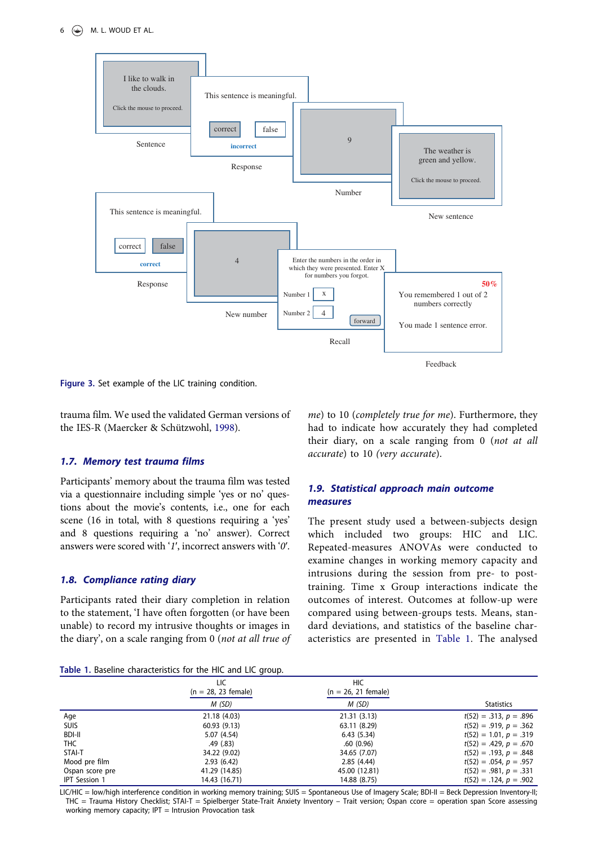

<span id="page-5-0"></span>Figure 3. Set example of the LIC training condition.

<span id="page-5-2"></span>trauma film. We used the validated German versions of the IES-R (Maercker & Schützwohl, [1998](#page-10-20)).

## 1.7. Memory test trauma films

Participants' memory about the trauma film was tested via a questionnaire including simple 'yes or no' questions about the movie's contents, i.e., one for each scene (16 in total, with 8 questions requiring a 'yes' and 8 questions requiring a 'no' answer). Correct answers were scored with '1ʹ, incorrect answers with '0ʹ.

## 1.8. Compliance rating diary

Participants rated their diary completion in relation to the statement, 'I have often forgotten (or have been unable) to record my intrusive thoughts or images in the diary', on a scale ranging from 0 (not at all true of

me) to 10 (completely true for me). Furthermore, they had to indicate how accurately they had completed their diary, on a scale ranging from 0 (not at all accurate) to 10 (very accurate).

# 1.9. Statistical approach main outcome measures

The present study used a between-subjects design which included two groups: HIC and LIC. Repeated-measures ANOVAs were conducted to examine changes in working memory capacity and intrusions during the session from pre- to posttraining. Time x Group interactions indicate the outcomes of interest. Outcomes at follow-up were compared using between-groups tests. Means, standard deviations, and statistics of the baseline characteristics are presented in [Table 1.](#page-5-1) The analysed

<span id="page-5-1"></span>

|  | Table 1. Baseline characteristics for the HIC and LIC group. |  |  |  |
|--|--------------------------------------------------------------|--|--|--|
|  |                                                              |  |  |  |

| Table 1. Daschille characteristics for the file and Lie group. |                              |                                     |                          |  |  |  |  |  |  |
|----------------------------------------------------------------|------------------------------|-------------------------------------|--------------------------|--|--|--|--|--|--|
|                                                                | LIC<br>$(n = 28, 23$ female) | <b>HIC</b><br>$(n = 26, 21$ female) |                          |  |  |  |  |  |  |
|                                                                | M (SD)                       | M (SD)                              | <b>Statistics</b>        |  |  |  |  |  |  |
| Age                                                            | 21.18 (4.03)                 | 21.31 (3.13)                        | $t(52) = .313, p = .896$ |  |  |  |  |  |  |
| <b>SUIS</b>                                                    | 60.93(9.13)                  | 63.11 (8.29)                        | $t(52) = .919, p = .362$ |  |  |  |  |  |  |
| <b>BDI-II</b>                                                  | 5.07 (4.54)                  | 6.43(5.34)                          | $t(52) = 1.01, p = .319$ |  |  |  |  |  |  |
| THC                                                            | .49 (.83)                    | .60(0.96)                           | $t(52) = .429, p = .670$ |  |  |  |  |  |  |
| STAI-T                                                         | 34.22 (9.02)                 | 34.65 (7.07)                        | $t(52) = .193, p = .848$ |  |  |  |  |  |  |
| Mood pre film                                                  | 2.93(6.42)                   | 2.85(4.44)                          | $t(52) = .054, p = .957$ |  |  |  |  |  |  |
| Ospan score pre                                                | 41.29 (14.85)                | 45.00 (12.81)                       | $t(52) = .981, p = .331$ |  |  |  |  |  |  |
| <b>IPT</b> Session 1                                           | 14.43 (16.71)                | 14.88 (8.75)                        | $t(52) = .124, p = .902$ |  |  |  |  |  |  |

LIC/HIC = low/high interference condition in working memory training; SUIS = Spontaneous Use of Imagery Scale; BDI-II = Beck Depression Inventory-II; THC = Trauma History Checklist; STAI-T = Spielberger State-Trait Anxiety Inventory – Trait version; Ospan ccore = operation span Score assessing working memory capacity; IPT = Intrusion Provocation task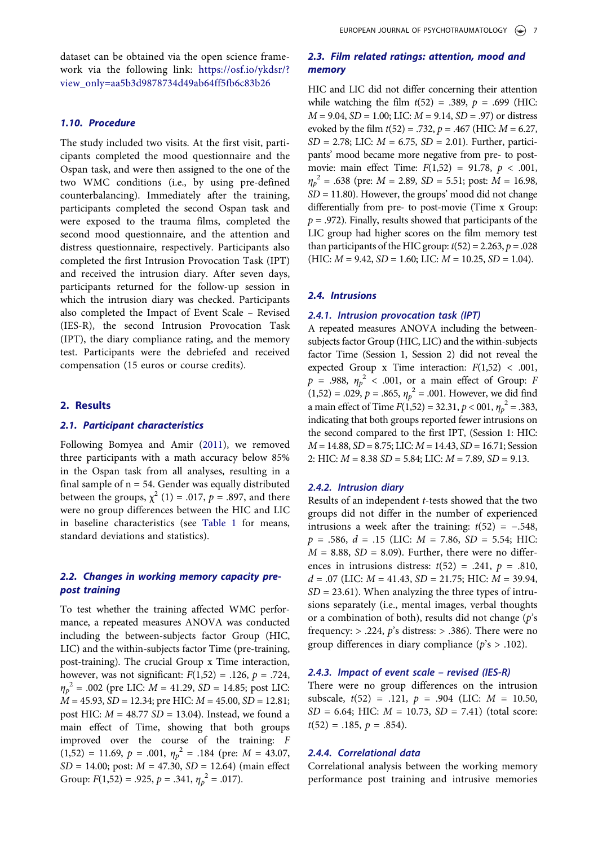dataset can be obtained via the open science framework via the following link: [https://osf.io/ykdsr/?](https://osf.io/ykdsr/?view_only=aa5b3d9878734d49ab64ff5fb6c83b26) [view\\_only=aa5b3d9878734d49ab64ff5fb6c83b26](https://osf.io/ykdsr/?view_only=aa5b3d9878734d49ab64ff5fb6c83b26)

### 1.10. Procedure

The study included two visits. At the first visit, participants completed the mood questionnaire and the Ospan task, and were then assigned to the one of the two WMC conditions (i.e., by using pre-defined counterbalancing). Immediately after the training, participants completed the second Ospan task and were exposed to the trauma films, completed the second mood questionnaire, and the attention and distress questionnaire, respectively. Participants also completed the first Intrusion Provocation Task (IPT) and received the intrusion diary. After seven days, participants returned for the follow-up session in which the intrusion diary was checked. Participants also completed the Impact of Event Scale – Revised (IES-R), the second Intrusion Provocation Task (IPT), the diary compliance rating, and the memory test. Participants were the debriefed and received compensation (15 euros or course credits).

### 2. Results

## 2.1. Participant characteristics

Following Bomyea and Amir ([2011](#page-9-2)), we removed three participants with a math accuracy below 85% in the Ospan task from all analyses, resulting in a final sample of  $n = 54$ . Gender was equally distributed between the groups,  $\chi^2$  (1) = .017, p = .897, and there were no group differences between the HIC and LIC in baseline characteristics (see [Table 1](#page-5-1) for means, standard deviations and statistics).

# 2.2. Changes in working memory capacity prepost training

To test whether the training affected WMC performance, a repeated measures ANOVA was conducted including the between-subjects factor Group (HIC, LIC) and the within-subjects factor Time (pre-training, post-training). The crucial Group x Time interaction, however, was not significant:  $F(1,52) = .126$ ,  $p = .724$ ,  $\eta_p^2$  = .002 (pre LIC:  $M = 41.29$ , SD = 14.85; post LIC:  $M = 45.93$ ,  $SD = 12.34$ ; pre HIC:  $M = 45.00$ ,  $SD = 12.81$ ; post HIC:  $M = 48.77$  SD = 13.04). Instead, we found a main effect of Time, showing that both groups improved over the course of the training: F  $(1,52) = 11.69, p = .001, \eta_p^2 = .184$  (pre:  $M = 43.07$ ,  $SD = 14.00$ ; post:  $M = 47.30$ ,  $SD = 12.64$ ) (main effect Group:  $F(1,52) = .925$ ,  $p = .341$ ,  $\eta_p^2 = .017$ ).

# 2.3. Film related ratings: attention, mood and memory

HIC and LIC did not differ concerning their attention while watching the film  $t(52) = .389$ ,  $p = .699$  (HIC:  $M = 9.04$ ,  $SD = 1.00$ ; LIC:  $M = 9.14$ ,  $SD = .97$ ) or distress evoked by the film  $t(52) = .732$ ,  $p = .467$  (HIC:  $M = 6.27$ ,  $SD = 2.78$ ; LIC:  $M = 6.75$ ,  $SD = 2.01$ ). Further, participants' mood became more negative from pre- to postmovie: main effect Time:  $F(1,52) = 91.78, p < .001,$  $\eta_p^2$  = .638 (pre: *M* = 2.89, *SD* = 5.51; post:  $\overline{M}$  = 16.98,  $SD = 11.80$ ). However, the groups' mood did not change differentially from pre- to post-movie (Time x Group:  $p = .972$ ). Finally, results showed that participants of the LIC group had higher scores on the film memory test than participants of the HIC group:  $t(52) = 2.263$ ,  $p = .028$  $(HIC: M = 9.42, SD = 1.60; LIC: M = 10.25, SD = 1.04).$ 

### 2.4. Intrusions

### 2.4.1. Intrusion provocation task (IPT)

A repeated measures ANOVA including the betweensubjects factor Group (HIC, LIC) and the within-subjects factor Time (Session 1, Session 2) did not reveal the expected Group x Time interaction:  $F(1,52)$  < .001,  $p = .988$ ,  $\eta_p^2 < .001$ , or a main effect of Group: F  $(1,52) = .029, p = .865, \eta_p^2 = .001$ . However, we did find a main effect of Time  $F(1,52) = 32.31, p < 001, \eta_p^2 = .383,$ indicating that both groups reported fewer intrusions on the second compared to the first IPT, (Session 1: HIC:  $M = 14.88$ ,  $SD = 8.75$ ; LIC:  $M = 14.43$ ,  $SD = 16.71$ ; Session 2: HIC:  $M = 8.38$  SD = 5.84; LIC:  $M = 7.89$ , SD = 9.13.

### 2.4.2. Intrusion diary

Results of an independent t-tests showed that the two groups did not differ in the number of experienced intrusions a week after the training:  $t(52) = -.548$ ,  $p = .586, d = .15$  (LIC:  $M = 7.86, SD = 5.54; HIC$ :  $M = 8.88$ ,  $SD = 8.09$ ). Further, there were no differences in intrusions distress:  $t(52) = .241$ ,  $p = .810$ ,  $d = .07$  (LIC:  $M = 41.43$ ,  $SD = 21.75$ ; HIC:  $M = 39.94$ ,  $SD = 23.61$ ). When analyzing the three types of intrusions separately (i.e., mental images, verbal thoughts or a combination of both), results did not change  $(p's)$ frequency:  $> .224$ , p's distress:  $> .386$ ). There were no group differences in diary compliance ( $p's > .102$ ).

## 2.4.3. Impact of event scale – revised (IES-R)

There were no group differences on the intrusion subscale,  $t(52) = .121$ ,  $p = .904$  (LIC:  $M = 10.50$ ,  $SD = 6.64$ ; HIC:  $M = 10.73$ ,  $SD = 7.41$ ) (total score:  $t(52) = .185, p = .854$ .

## 2.4.4. Correlational data

Correlational analysis between the working memory performance post training and intrusive memories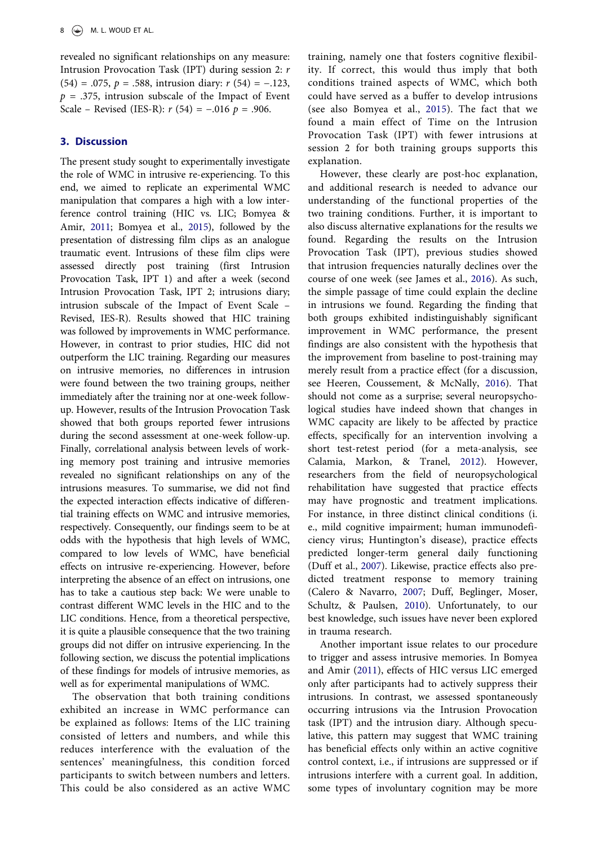revealed no significant relationships on any measure: Intrusion Provocation Task (IPT) during session 2: r (54) = .075,  $p = .588$ , intrusion diary:  $r(54) = -.123$ ,  $p = .375$ , intrusion subscale of the Impact of Event Scale – Revised (IES-R):  $r$  (54) = -.016  $p = .906$ .

## 3. Discussion

The present study sought to experimentally investigate the role of WMC in intrusive re-experiencing. To this end, we aimed to replicate an experimental WMC manipulation that compares a high with a low interference control training (HIC vs. LIC; Bomyea & Amir, [2011;](#page-9-2) Bomyea et al., [2015](#page-9-3)), followed by the presentation of distressing film clips as an analogue traumatic event. Intrusions of these film clips were assessed directly post training (first Intrusion Provocation Task, IPT 1) and after a week (second Intrusion Provocation Task, IPT 2; intrusions diary; intrusion subscale of the Impact of Event Scale – Revised, IES-R). Results showed that HIC training was followed by improvements in WMC performance. However, in contrast to prior studies, HIC did not outperform the LIC training. Regarding our measures on intrusive memories, no differences in intrusion were found between the two training groups, neither immediately after the training nor at one-week followup. However, results of the Intrusion Provocation Task showed that both groups reported fewer intrusions during the second assessment at one-week follow-up. Finally, correlational analysis between levels of working memory post training and intrusive memories revealed no significant relationships on any of the intrusions measures. To summarise, we did not find the expected interaction effects indicative of differential training effects on WMC and intrusive memories, respectively. Consequently, our findings seem to be at odds with the hypothesis that high levels of WMC, compared to low levels of WMC, have beneficial effects on intrusive re-experiencing. However, before interpreting the absence of an effect on intrusions, one has to take a cautious step back: We were unable to contrast different WMC levels in the HIC and to the LIC conditions. Hence, from a theoretical perspective, it is quite a plausible consequence that the two training groups did not differ on intrusive experiencing. In the following section, we discuss the potential implications of these findings for models of intrusive memories, as well as for experimental manipulations of WMC.

The observation that both training conditions exhibited an increase in WMC performance can be explained as follows: Items of the LIC training consisted of letters and numbers, and while this reduces interference with the evaluation of the sentences' meaningfulness, this condition forced participants to switch between numbers and letters. This could be also considered as an active WMC

training, namely one that fosters cognitive flexibility. If correct, this would thus imply that both conditions trained aspects of WMC, which both could have served as a buffer to develop intrusions (see also Bomyea et al., [2015\)](#page-9-3). The fact that we found a main effect of Time on the Intrusion Provocation Task (IPT) with fewer intrusions at session 2 for both training groups supports this explanation.

<span id="page-7-4"></span>However, these clearly are post-hoc explanation, and additional research is needed to advance our understanding of the functional properties of the two training conditions. Further, it is important to also discuss alternative explanations for the results we found. Regarding the results on the Intrusion Provocation Task (IPT), previous studies showed that intrusion frequencies naturally declines over the course of one week (see James et al., [2016](#page-10-8)). As such, the simple passage of time could explain the decline in intrusions we found. Regarding the finding that both groups exhibited indistinguishably significant improvement in WMC performance, the present findings are also consistent with the hypothesis that the improvement from baseline to post-training may merely result from a practice effect (for a discussion, see Heeren, Coussement, & McNally, [2016](#page-10-21)). That should not come as a surprise; several neuropsychological studies have indeed shown that changes in WMC capacity are likely to be affected by practice effects, specifically for an intervention involving a short test-retest period (for a meta-analysis, see Calamia, Markon, & Tranel, [2012\)](#page-10-22). However, researchers from the field of neuropsychological rehabilitation have suggested that practice effects may have prognostic and treatment implications. For instance, in three distinct clinical conditions (i. e., mild cognitive impairment; human immunodeficiency virus; Huntington's disease), practice effects predicted longer-term general daily functioning (Duff et al., [2007\)](#page-10-23). Likewise, practice effects also predicted treatment response to memory training (Calero & Navarro, [2007](#page-10-24); Duff, Beglinger, Moser, Schultz, & Paulsen, [2010](#page-10-25)). Unfortunately, to our best knowledge, such issues have never been explored in trauma research.

<span id="page-7-3"></span><span id="page-7-2"></span><span id="page-7-1"></span><span id="page-7-0"></span>Another important issue relates to our procedure to trigger and assess intrusive memories. In Bomyea and Amir ([2011\)](#page-9-2), effects of HIC versus LIC emerged only after participants had to actively suppress their intrusions. In contrast, we assessed spontaneously occurring intrusions via the Intrusion Provocation task (IPT) and the intrusion diary. Although speculative, this pattern may suggest that WMC training has beneficial effects only within an active cognitive control context, i.e., if intrusions are suppressed or if intrusions interfere with a current goal. In addition, some types of involuntary cognition may be more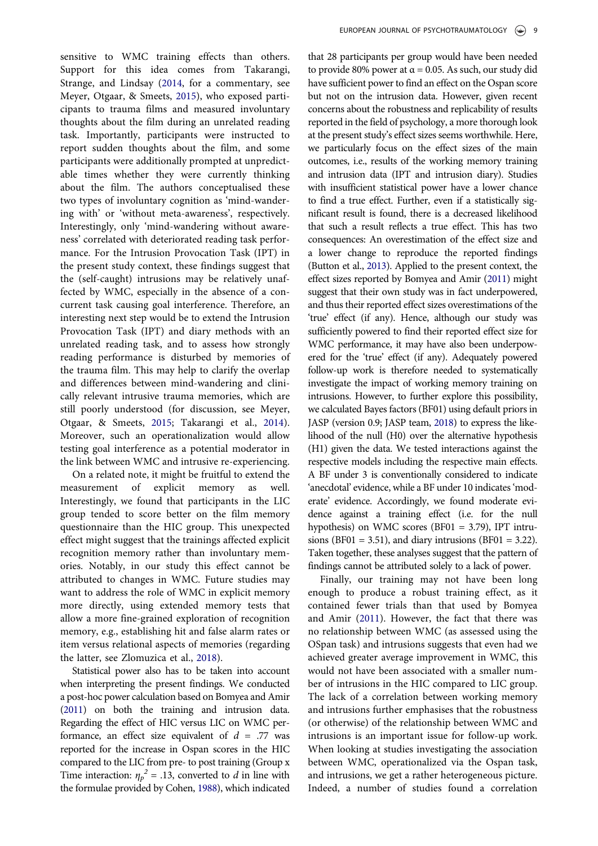sensitive to WMC training effects than others. Support for this idea comes from Takarangi, Strange, and Lindsay [\(2014](#page-10-26), for a commentary, see Meyer, Otgaar, & Smeets, [2015](#page-10-27)), who exposed participants to trauma films and measured involuntary thoughts about the film during an unrelated reading task. Importantly, participants were instructed to report sudden thoughts about the film, and some participants were additionally prompted at unpredictable times whether they were currently thinking about the film. The authors conceptualised these two types of involuntary cognition as 'mind-wandering with' or 'without meta-awareness', respectively. Interestingly, only 'mind-wandering without awareness' correlated with deteriorated reading task performance. For the Intrusion Provocation Task (IPT) in the present study context, these findings suggest that the (self-caught) intrusions may be relatively unaffected by WMC, especially in the absence of a concurrent task causing goal interference. Therefore, an interesting next step would be to extend the Intrusion Provocation Task (IPT) and diary methods with an unrelated reading task, and to assess how strongly reading performance is disturbed by memories of the trauma film. This may help to clarify the overlap and differences between mind-wandering and clinically relevant intrusive trauma memories, which are still poorly understood (for discussion, see Meyer, Otgaar, & Smeets, [2015;](#page-10-27) Takarangi et al., [2014\)](#page-10-26). Moreover, such an operationalization would allow testing goal interference as a potential moderator in the link between WMC and intrusive re-experiencing.

<span id="page-8-3"></span>On a related note, it might be fruitful to extend the measurement of explicit memory as well. Interestingly, we found that participants in the LIC group tended to score better on the film memory questionnaire than the HIC group. This unexpected effect might suggest that the trainings affected explicit recognition memory rather than involuntary memories. Notably, in our study this effect cannot be attributed to changes in WMC. Future studies may want to address the role of WMC in explicit memory more directly, using extended memory tests that allow a more fine-grained exploration of recognition memory, e.g., establishing hit and false alarm rates or item versus relational aspects of memories (regarding the latter, see Zlomuzica et al., [2018\)](#page-11-4).

<span id="page-8-4"></span><span id="page-8-1"></span>Statistical power also has to be taken into account when interpreting the present findings. We conducted a post-hoc power calculation based on Bomyea and Amir [\(2011\)](#page-9-2) on both the training and intrusion data. Regarding the effect of HIC versus LIC on WMC performance, an effect size equivalent of  $d = .77$  was reported for the increase in Ospan scores in the HIC compared to the LIC from pre- to post training (Group x Time interaction:  $\eta_p^2 = .13$ , converted to d in line with the formulae provided by Cohen, [1988](#page-10-28)), which indicated

<span id="page-8-0"></span>that 28 participants per group would have been needed to provide 80% power at  $α = 0.05$ . As such, our study did have sufficient power to find an effect on the Ospan score but not on the intrusion data. However, given recent concerns about the robustness and replicability of results reported in the field of psychology, a more thorough look at the present study's effect sizes seems worthwhile. Here, we particularly focus on the effect sizes of the main outcomes, i.e., results of the working memory training and intrusion data (IPT and intrusion diary). Studies with insufficient statistical power have a lower chance to find a true effect. Further, even if a statistically significant result is found, there is a decreased likelihood that such a result reflects a true effect. This has two consequences: An overestimation of the effect size and a lower change to reproduce the reported findings (Button et al., [2013\)](#page-10-29). Applied to the present context, the effect sizes reported by Bomyea and Amir [\(2011\)](#page-9-2) might suggest that their own study was in fact underpowered, and thus their reported effect sizes overestimations of the 'true' effect (if any). Hence, although our study was sufficiently powered to find their reported effect size for WMC performance, it may have also been underpowered for the 'true' effect (if any). Adequately powered follow-up work is therefore needed to systematically investigate the impact of working memory training on intrusions. However, to further explore this possibility, we calculated Bayes factors (BF01) using default priors in JASP (version 0.9; JASP team, [2018\)](#page-10-30) to express the likelihood of the null (H0) over the alternative hypothesis (H1) given the data. We tested interactions against the respective models including the respective main effects. A BF under 3 is conventionally considered to indicate 'anecdotal' evidence, while a BF under 10 indicates'moderate' evidence. Accordingly, we found moderate evidence against a training effect (i.e. for the null hypothesis) on WMC scores (BF01 = 3.79), IPT intrusions (BF01 = 3.51), and diary intrusions (BF01 = 3.22). Taken together, these analyses suggest that the pattern of findings cannot be attributed solely to a lack of power.

<span id="page-8-2"></span>Finally, our training may not have been long enough to produce a robust training effect, as it contained fewer trials than that used by Bomyea and Amir [\(2011](#page-9-2)). However, the fact that there was no relationship between WMC (as assessed using the OSpan task) and intrusions suggests that even had we achieved greater average improvement in WMC, this would not have been associated with a smaller number of intrusions in the HIC compared to LIC group. The lack of a correlation between working memory and intrusions further emphasises that the robustness (or otherwise) of the relationship between WMC and intrusions is an important issue for follow-up work. When looking at studies investigating the association between WMC, operationalized via the Ospan task, and intrusions, we get a rather heterogeneous picture. Indeed, a number of studies found a correlation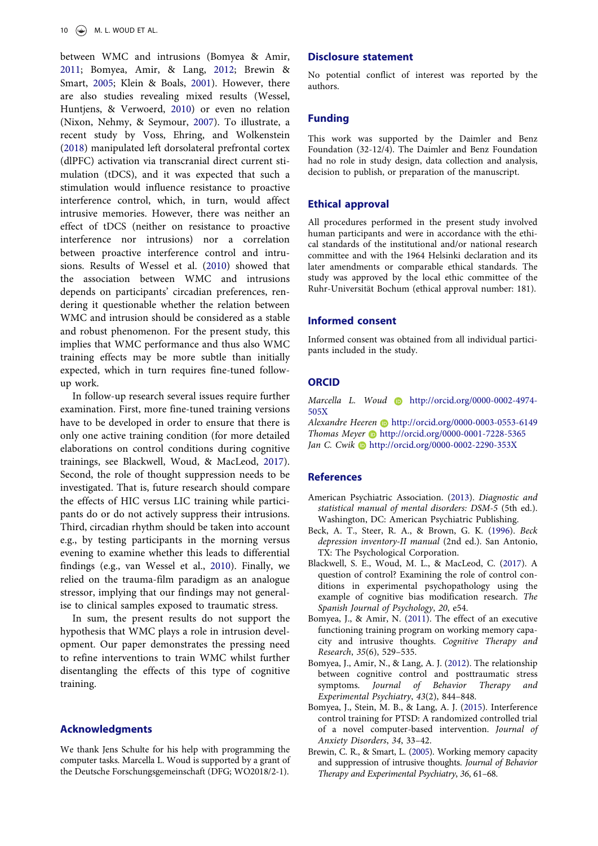<span id="page-9-11"></span><span id="page-9-10"></span><span id="page-9-9"></span><span id="page-9-8"></span>between WMC and intrusions (Bomyea & Amir, [2011](#page-9-2); Bomyea, Amir, & Lang, [2012](#page-9-5); Brewin & Smart, [2005;](#page-9-1) Klein & Boals, [2001](#page-10-31)). However, there are also studies revealing mixed results (Wessel, Huntjens, & Verwoerd, [2010](#page-11-5)) or even no relation (Nixon, Nehmy, & Seymour, [2007\)](#page-10-32). To illustrate, a recent study by Voss, Ehring, and Wolkenstein ([2018\)](#page-11-6) manipulated left dorsolateral prefrontal cortex (dlPFC) activation via transcranial direct current stimulation (tDCS), and it was expected that such a stimulation would influence resistance to proactive interference control, which, in turn, would affect intrusive memories. However, there was neither an effect of tDCS (neither on resistance to proactive interference nor intrusions) nor a correlation between proactive interference control and intrusions. Results of Wessel et al. [\(2010\)](#page-11-5) showed that the association between WMC and intrusions depends on participants' circadian preferences, rendering it questionable whether the relation between WMC and intrusion should be considered as a stable and robust phenomenon. For the present study, this implies that WMC performance and thus also WMC training effects may be more subtle than initially expected, which in turn requires fine-tuned followup work.

<span id="page-9-7"></span>In follow-up research several issues require further examination. First, more fine-tuned training versions have to be developed in order to ensure that there is only one active training condition (for more detailed elaborations on control conditions during cognitive trainings, see Blackwell, Woud, & MacLeod, [2017\)](#page-9-6). Second, the role of thought suppression needs to be investigated. That is, future research should compare the effects of HIC versus LIC training while participants do or do not actively suppress their intrusions. Third, circadian rhythm should be taken into account e.g., by testing participants in the morning versus evening to examine whether this leads to differential findings (e.g., van Wessel et al., [2010\)](#page-11-5). Finally, we relied on the trauma-film paradigm as an analogue stressor, implying that our findings may not generalise to clinical samples exposed to traumatic stress.

<span id="page-9-12"></span>In sum, the present results do not support the hypothesis that WMC plays a role in intrusion development. Our paper demonstrates the pressing need to refine interventions to train WMC whilst further disentangling the effects of this type of cognitive training.

## Acknowledgments

We thank Jens Schulte for his help with programming the computer tasks. Marcella L. Woud is supported by a grant of the Deutsche Forschungsgemeinschaft (DFG; WO2018/2-1).

# Disclosure statement

No potential conflict of interest was reported by the authors.

## Funding

This work was supported by the Daimler and Benz Foundation (32-12/4). The Daimler and Benz Foundation had no role in study design, data collection and analysis, decision to publish, or preparation of the manuscript.

# Ethical approval

All procedures performed in the present study involved human participants and were in accordance with the ethical standards of the institutional and/or national research committee and with the 1964 Helsinki declaration and its later amendments or comparable ethical standards. The study was approved by the local ethic committee of the Ruhr-Universität Bochum (ethical approval number: 181).

### Informed consent

Informed consent was obtained from all individual participants included in the study.

# **ORCID**

Marcella L. Woud **b** http://orcid.org/0000-0002-4974-505X

Alexandre Heeren **b** http://orcid.org/0000-0003-0553-6149 Thomas Meyer **b** http://orcid.org/0000-0001-7228-5365 Jan C. Cwik http://orcid.org/0000-0002-2290-353X

## **References**

- <span id="page-9-0"></span>American Psychiatric Association. ([2013](#page-1-0)). Diagnostic and statistical manual of mental disorders: DSM-5 (5th ed.). Washington, DC: American Psychiatric Publishing.
- <span id="page-9-4"></span>Beck, A. T., Steer, R. A., & Brown, G. K. [\(1996\)](#page-2-0). Beck depression inventory-II manual (2nd ed.). San Antonio, TX: The Psychological Corporation.
- <span id="page-9-6"></span>Blackwell, S. E., Woud, M. L., & MacLeod, C. ([2017](#page-9-7)). A question of control? Examining the role of control conditions in experimental psychopathology using the example of cognitive bias modification research. The Spanish Journal of Psychology, 20, e54.
- <span id="page-9-2"></span>Bomyea, J., & Amir, N. [\(2011](#page-1-1)). The effect of an executive functioning training program on working memory capacity and intrusive thoughts. Cognitive Therapy and Research, 35(6), 529–535.
- <span id="page-9-5"></span>Bomyea, J., Amir, N., & Lang, A. J. ([2012](#page-9-8)). The relationship between cognitive control and posttraumatic stress symptoms. Journal of Behavior Therapy and Experimental Psychiatry, 43(2), 844–848.
- <span id="page-9-3"></span>Bomyea, J., Stein, M. B., & Lang, A. J. ([2015](#page-1-2)). Interference control training for PTSD: A randomized controlled trial of a novel computer-based intervention. Journal of Anxiety Disorders, 34, 33–42.
- <span id="page-9-1"></span>Brewin, C. R., & Smart, L. [\(2005\)](#page-1-3). Working memory capacity and suppression of intrusive thoughts. Journal of Behavior Therapy and Experimental Psychiatry, 36, 61–68.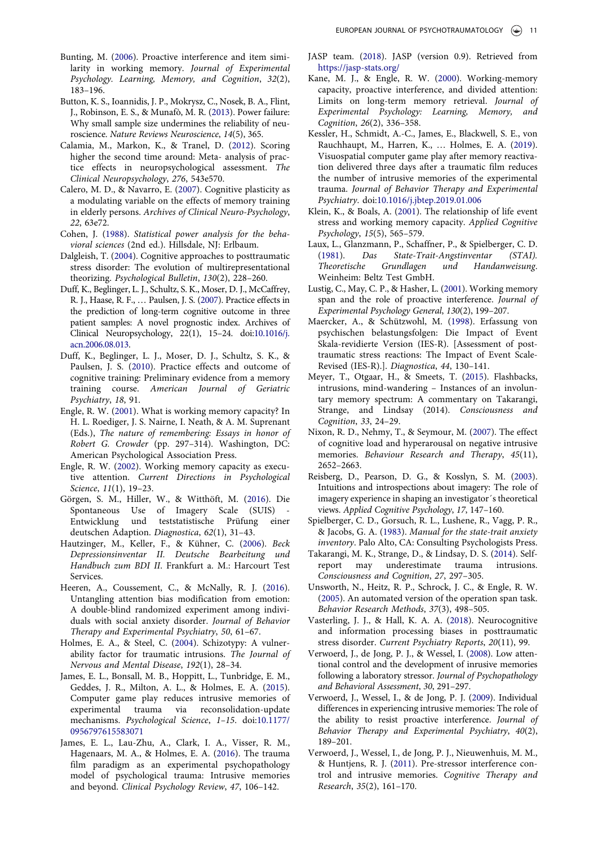- <span id="page-10-17"></span>Bunting, M. [\(2006](#page-2-1)). Proactive interference and item similarity in working memory. Journal of Experimental Psychology. Learning, Memory, and Cognition, 32(2), 183–196.
- <span id="page-10-29"></span>Button, K. S., Ioannidis, J. P., Mokrysz, C., Nosek, B. A., Flint, J., Robinson, E. S., & Munafò, M. R. ([2013\)](#page-8-0). Power failure: Why small sample size undermines the reliability of neuroscience. Nature Reviews Neuroscience, 14(5), 365.
- <span id="page-10-22"></span>Calamia, M., Markon, K., & Tranel, D. ([2012](#page-7-0)). Scoring higher the second time around: Meta- analysis of practice effects in neuropsychological assessment. The Clinical Neuropsychology, 276, 543e570.
- <span id="page-10-24"></span>Calero, M. D., & Navarro, E. [\(2007\)](#page-7-1). Cognitive plasticity as a modulating variable on the effects of memory training in elderly persons. Archives of Clinical Neuro-Psychology, 22, 63e72.
- <span id="page-10-28"></span>Cohen, J. [\(1988](#page-8-1)). Statistical power analysis for the behavioral sciences (2nd ed.). Hillsdale, NJ: Erlbaum.
- <span id="page-10-0"></span>Dalgleish, T. ([2004](#page-1-3)). Cognitive approaches to posttraumatic stress disorder: The evolution of multirepresentational theorizing. Psychological Bulletin, 130(2), 228–260.
- <span id="page-10-23"></span>Duff, K., Beglinger, L. J., Schultz, S. K., Moser, D. J., McCaffrey, R. J., Haase, R. F., … Paulsen, J. S. ([2007](#page-7-2)). Practice effects in the prediction of long-term cognitive outcome in three patient samples: A novel prognostic index. Archives of Clinical Neuropsychology, 22(1), 15–24. doi:[10.1016/j.](https://doi.org/10.1016/j.acn.2006.08.013) [acn.2006.08.013](https://doi.org/10.1016/j.acn.2006.08.013).
- <span id="page-10-25"></span>Duff, K., Beglinger, L. J., Moser, D. J., Schultz, S. K., & Paulsen, J. S. [\(2010](#page-7-3)). Practice effects and outcome of cognitive training: Preliminary evidence from a memory training course. American Journal of Geriatric Psychiatry, 18, 91.
- <span id="page-10-3"></span>Engle, R. W. [\(2001\)](#page-1-4). What is working memory capacity? In H. L. Roediger, J. S. Nairne, I. Neath, & A. M. Suprenant (Eds.), The nature of remembering: Essays in honor of Robert G. Crowder (pp. 297–314). Washington, DC: American Psychological Association Press.
- <span id="page-10-1"></span>Engle, R. W. ([2002](#page-1-5)). Working memory capacity as executive attention. Current Directions in Psychological Science, 11(1), 19–23.
- <span id="page-10-13"></span>Görgen, S. M., Hiller, W., & Witthöft, M. [\(2016](#page-2-2)). Die Spontaneous Use of Imagery Scale (SUIS) - Entwicklung und teststatistische Prüfung einer deutschen Adaption. Diagnostica, 62(1), 31–43.
- <span id="page-10-14"></span>Hautzinger, M., Keller, F., & Kühner, C. ([2006](#page-2-3)). Beck Depressionsinventar II. Deutsche Bearbeitung und Handbuch zum BDI II. Frankfurt a. M.: Harcourt Test Services.
- <span id="page-10-21"></span>Heeren, A., Coussement, C., & McNally, R. J. ([2016](#page-7-4)). Untangling attention bias modification from emotion: A double-blind randomized experiment among individuals with social anxiety disorder. Journal of Behavior Therapy and Experimental Psychiatry, 50, 61–67.
- <span id="page-10-12"></span>Holmes, E. A., & Steel, C. [\(2004](#page-2-4)). Schizotypy: A vulnerability factor for traumatic intrusions. The Journal of Nervous and Mental Disease, 192(1), 28–34.
- <span id="page-10-9"></span>James, E. L., Bonsall, M. B., Hoppitt, L., Tunbridge, E. M., Geddes, J. R., Milton, A. L., & Holmes, E. A. ([2015](#page-2-5)). Computer game play reduces intrusive memories of experimental trauma via reconsolidation-update mechanisms. Psychological Science, 1–15. doi:[10.1177/](https://doi.org/10.1177/0956797615583071) [0956797615583071](https://doi.org/10.1177/0956797615583071)
- <span id="page-10-8"></span>James, E. L., Lau-Zhu, A., Clark, I. A., Visser, R. M., Hagenaars, M. A., & Holmes, E. A. ([2016\)](#page-1-6). The trauma film paradigm as an experimental psychopathology model of psychological trauma: Intrusive memories and beyond. Clinical Psychology Review, 47, 106–142.
- <span id="page-10-30"></span>JASP team. [\(2018\)](#page-8-2). JASP (version 0.9). Retrieved from <https://jasp-stats.org/>
- <span id="page-10-2"></span>Kane, M. J., & Engle, R. W. [\(2000](#page-1-5)). Working-memory capacity, proactive interference, and divided attention: Limits on long-term memory retrieval. Journal of Experimental Psychology: Learning, Memory, and Cognition, 26(2), 336–358.
- <span id="page-10-16"></span>Kessler, H., Schmidt, A.-C., James, E., Blackwell, S. E., von Rauchhaupt, M., Harren, K., … Holmes, E. A. ([2019\)](#page-2-6). Visuospatial computer game play after memory reactivation delivered three days after a traumatic film reduces the number of intrusive memories of the experimental trauma. Journal of Behavior Therapy and Experimental Psychiatry. doi:[10.1016/j.jbtep.2019.01.006](https://doi.org/10.1016/j.jbtep.2019.01.006)
- <span id="page-10-31"></span>Klein, K., & Boals, A. [\(2001](#page-9-9)). The relationship of life event stress and working memory capacity. Applied Cognitive Psychology, 15(5), 565–579.
- <span id="page-10-15"></span>Laux, L., Glanzmann, P., Schaffner, P., & Spielberger, C. D. ([1981](#page-2-7)). Das State-Trait-Angstinventar (STAI). Theoretische Grundlagen und Handanweisung. Weinheim: Beltz Test GmbH.
- <span id="page-10-19"></span>Lustig, C., May, C. P., & Hasher, L. [\(2001\)](#page-3-1). Working memory span and the role of proactive interference. Journal of Experimental Psychology General, 130(2), 199–207.
- <span id="page-10-20"></span>Maercker, A., & Schützwohl, M. [\(1998](#page-5-2)). Erfassung von psychischen belastungsfolgen: Die Impact of Event Skala-revidierte Version (IES-R). [Assessment of posttraumatic stress reactions: The Impact of Event Scale-Revised (IES-R).]. Diagnostica, 44, 130–141.
- <span id="page-10-27"></span>Meyer, T., Otgaar, H., & Smeets, T. [\(2015\)](#page-8-3). Flashbacks, intrusions, mind-wandering – Instances of an involuntary memory spectrum: A commentary on Takarangi, Strange, and Lindsay (2014). Consciousness and Cognition, 33, 24–29.
- <span id="page-10-32"></span>Nixon, R. D., Nehmy, T., & Seymour, M. ([2007](#page-9-10)). The effect of cognitive load and hyperarousal on negative intrusive memories. Behaviour Research and Therapy, 45(11), 2652–2663.
- <span id="page-10-10"></span>Reisberg, D., Pearson, D. G., & Kosslyn, S. M. [\(2003\)](#page-2-8). Intuitions and introspections about imagery: The role of imagery experience in shaping an investigator´s theoretical views. Applied Cognitive Psychology, 17, 147–160.
- <span id="page-10-11"></span>Spielberger, C. D., Gorsuch, R. L., Lushene, R., Vagg, P. R., & Jacobs, G. A. [\(1983\)](#page-2-9). Manual for the state-trait anxiety inventory. Palo Alto, CA: Consulting Psychologists Press.
- <span id="page-10-26"></span>Takarangi, M. K., Strange, D., & Lindsay, D. S. ([2014](#page-8-3)). Selfreport may underestimate trauma intrusions. Consciousness and Cognition, 27, 297–305.
- <span id="page-10-18"></span>Unsworth, N., Heitz, R. P., Schrock, J. C., & Engle, R. W. ([2005](#page-2-10)). An automated version of the operation span task. Behavior Research Methods, 37(3), 498–505.
- <span id="page-10-7"></span>Vasterling, J. J., & Hall, K. A. A. [\(2018](#page-1-7)). Neurocognitive and information processing biases in posttraumatic stress disorder. Current Psychiatry Reports, 20(11), 99.
- <span id="page-10-4"></span>Verwoerd, J., de Jong, P. J., & Wessel, I. ([2008](#page-1-8)). Low attentional control and the development of inrusive memories following a laboratory stressor. Journal of Psychopathology and Behavioral Assessment, 30, 291–297.
- <span id="page-10-5"></span>Verwoerd, J., Wessel, I., & de Jong, P. J. [\(2009\)](#page-1-9). Individual differences in experiencing intrusive memories: The role of the ability to resist proactive interference. Journal of Behavior Therapy and Experimental Psychiatry, 40(2), 189–201.
- <span id="page-10-6"></span>Verwoerd, J., Wessel, I., de Jong, P. J., Nieuwenhuis, M. M., & Huntjens, R. J. [\(2011](#page-1-10)). Pre-stressor interference control and intrusive memories. Cognitive Therapy and Research, 35(2), 161–170.